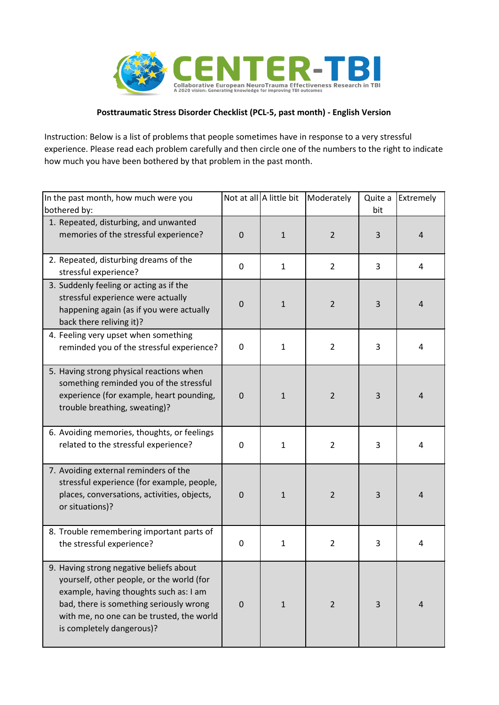

## **Posttraumatic Stress Disorder Checklist (PCL-5, past month) - English Version**

Instruction: Below is a list of problems that people sometimes have in response to a very stressful experience. Please read each problem carefully and then circle one of the numbers to the right to indicate how much you have been bothered by that problem in the past month.

| In the past month, how much were you<br>bothered by:                                                                                                                                                                                                |             | Not at all A little bit | Moderately     | Quite a<br>bit | Extremely      |
|-----------------------------------------------------------------------------------------------------------------------------------------------------------------------------------------------------------------------------------------------------|-------------|-------------------------|----------------|----------------|----------------|
| 1. Repeated, disturbing, and unwanted<br>memories of the stressful experience?                                                                                                                                                                      | $\mathbf 0$ | $\mathbf{1}$            | $\overline{2}$ | 3              | $\overline{4}$ |
| 2. Repeated, disturbing dreams of the<br>stressful experience?                                                                                                                                                                                      | $\mathbf 0$ | $\mathbf{1}$            | $\overline{2}$ | 3              | 4              |
| 3. Suddenly feeling or acting as if the<br>stressful experience were actually<br>happening again (as if you were actually<br>back there reliving it)?                                                                                               | $\mathbf 0$ | $\mathbf{1}$            | $\overline{2}$ | 3              | $\overline{4}$ |
| 4. Feeling very upset when something<br>reminded you of the stressful experience?                                                                                                                                                                   | 0           | $\mathbf{1}$            | $\overline{2}$ | 3              | 4              |
| 5. Having strong physical reactions when<br>something reminded you of the stressful<br>experience (for example, heart pounding,<br>trouble breathing, sweating)?                                                                                    | $\mathbf 0$ | $\mathbf{1}$            | $\overline{2}$ | 3              | $\overline{4}$ |
| 6. Avoiding memories, thoughts, or feelings<br>related to the stressful experience?                                                                                                                                                                 | 0           | $\mathbf{1}$            | $\overline{2}$ | 3              | $\overline{4}$ |
| 7. Avoiding external reminders of the<br>stressful experience (for example, people,<br>places, conversations, activities, objects,<br>or situations)?                                                                                               | $\mathbf 0$ | $\mathbf{1}$            | $\overline{2}$ | 3              | $\overline{4}$ |
| 8. Trouble remembering important parts of<br>the stressful experience?                                                                                                                                                                              | $\pmb{0}$   | $\mathbf{1}$            | $\overline{2}$ | 3              | 4              |
| 9. Having strong negative beliefs about<br>yourself, other people, or the world (for<br>example, having thoughts such as: I am<br>bad, there is something seriously wrong<br>with me, no one can be trusted, the world<br>is completely dangerous)? | $\mathbf 0$ | $\mathbf{1}$            | $\overline{2}$ | 3              | $\overline{4}$ |